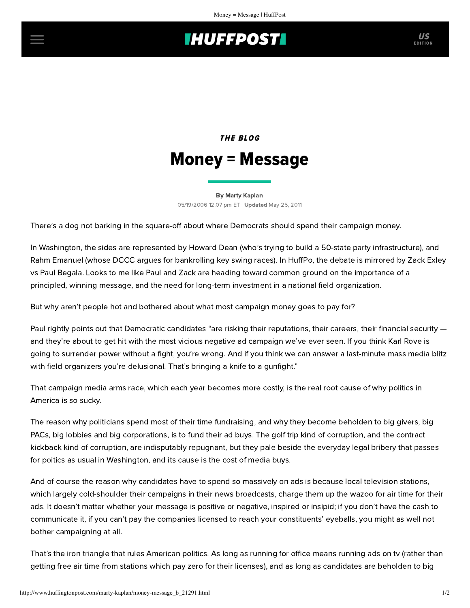## **INUFFPOSTI** US

## THE BLOG Money = Message

[By Marty Kaplan](http://www.huffingtonpost.com/author/marty-kaplan) 05/19/2006 12:07 pm ET | Updated May 25, 2011

There's a dog not barking in the square-off about where Democrats should spend their campaign money.

In Washington, the sides are represented by Howard Dean (who's trying to build a 50-state party infrastructure), and Rahm Emanuel (whose DCCC argues for bankrolling key swing races). In HuffPo, the debate is mirrored by [Zack Exley](http://www.huffingtonpost.com/zack-exley/shame-on-you-paul-begala_b_21116.html) vs [Paul Begala](http://www.huffingtonpost.com/paul-begala/bringing-a-knife-to-a-gun_b_21275.html). Looks to me like Paul and Zack are heading toward common ground on the importance of a principled, winning message, and the need for long-term investment in a national field organization.

But why aren't people hot and bothered about what most campaign money goes to pay for?

Paul rightly points out that Democratic candidates "are risking their reputations, their careers, their financial security and they're about to get hit with the most vicious negative ad campaign we've ever seen. If you think Karl Rove is going to surrender power without a fight, you're wrong. And if you think we can answer a last-minute mass media blitz with field organizers you're delusional. That's bringing a knife to a gunfight."

That campaign media arms race, which each year becomes more costly, is the real root cause of why politics in America is so sucky.

The reason why politicians spend most of their time fundraising, and why they become beholden to big givers, big PACs, big lobbies and big corporations, is to fund their ad buys. The golf trip kind of corruption, and the contract kickback kind of corruption, are indisputably repugnant, but they pale beside the everyday legal bribery that passes for poitics as usual in Washington, and its cause is the cost of media buys.

And of course the reason why candidates have to spend so massively on ads is because local television stations, which largely cold-shoulder their campaigns in their news broadcasts, charge them up the wazoo for air time for their ads. It doesn't matter whether your message is positive or negative, inspired or insipid; if you don't have the cash to communicate it, if you can't pay the companies licensed to reach your constituents' eyeballs, you might as well not bother campaigning at all.

That's the iron triangle that rules American politics. As long as running for office means running ads on tv (rather than getting free air time from stations which pay zero for their licenses), and as long as candidates are beholden to big